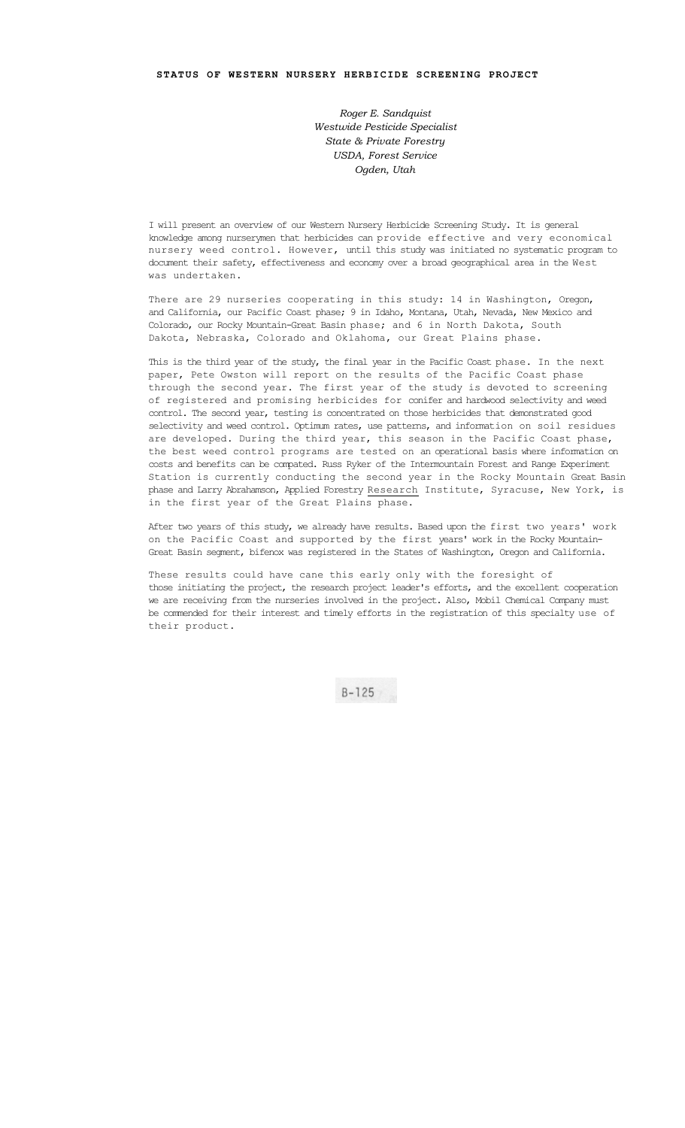*Roger E. Sandquist Westwide Pesticide Specialist State & Private Forestry USDA, Forest Service Ogden, Utah*

I will present an overview of our Western Nursery Herbicide Screening Study. It is general knowledge among nurserymen that herbicides can provide effective and very economical nursery weed control. However, until this study was initiated no systematic program to document their safety, effectiveness and economy over a broad geographical area in the West was undertaken.

There are 29 nurseries cooperating in this study: 14 in Washington, Oregon, and California, our Pacific Coast phase; 9 in Idaho, Montana, Utah, Nevada, New Mexico and Colorado, our Rocky Mountain-Great Basin phase; and 6 in North Dakota, South Dakota, Nebraska, Colorado and Oklahoma, our Great Plains phase.

This is the third year of the study, the final year in the Pacific Coast phase. In the next paper, Pete Owston will report on the results of the Pacific Coast phase through the second year. The first year of the study is devoted to screening of registered and promising herbicides for conifer and hardwood selectivity and weed control. The second year, testing is concentrated on those herbicides that demonstrated good selectivity and weed control. Optimum rates, use patterns, and information on soil residues are developed. During the third year, this season in the Pacific Coast phase, the best weed control programs are tested on an operational basis where information on costs and benefits can be compated. Russ Ryker of the Intermountain Forest and Range Experiment Station is currently conducting the second year in the Rocky Mountain Great Basin phase and Larry Abrahamson, Applied Forestry Research Institute, Syracuse, New York, is in the first year of the Great Plains phase.

After two years of this study, we already have results. Based upon the first two years' work on the Pacific Coast and supported by the first years' work in the Rocky Mountain-Great Basin segment, bifenox was registered in the States of Washington, Oregon and California.

These results could have cane this early only with the foresight of those initiating the project, the research project leader's efforts, and the excellent cooperation we are receiving from the nurseries involved in the project. Also, Mobil Chemical Company must be commended for their interest and timely efforts in the registration of this specialty use of their product.

 $B - 125$